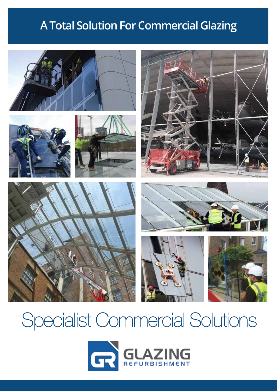# **A Total Solution For Commercial Glazing**



# Specialist Commercial Solutions

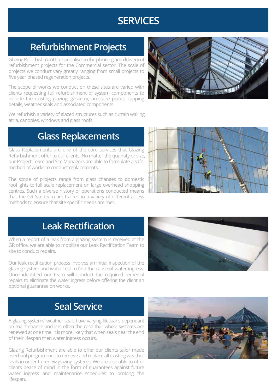## **SERVICES**

## **Refurbishment Projects**

Glazing Refurbishment Ltd specialises in the planning and delivery of refurbishment projects for the Commercial sector. The scale of projects we conduct vary greatly ranging from small projects to five year phased regeneration projects.

The scope of works we conduct on these sites are varied with clients requesting full refurbishment of system components to include the existing glazing, gasketry, pressure plates, capping details, weather seals and associated components.



We refurbish a variety of glazed structures such as curtain walling, atria, canopies, windows and glass roofs.

#### **Glass Replacements**

Glass Replacements are one of the core services that Glazing Refurbishment offer to our clients. No matter the quantity or size, our Project Team and Site Managers are able to formulate a safe method of works to conduct replacements.

The scope of projects range from glass changes to domestic rooflights to full scale replacement on large overhead shopping centres. Such a diverse history of operations conducted means that the GR Site team are trained in a variety of different access methods to ensure that site specific needs are met.



### **Leak Rectification**

When a report of a leak from a glazing system is received at the GR office, we are able to mobilise our Leak Rectification Team to site to conduct repairs.

Our leak rectification process involves an initial inspection of the glazing system and water test to find the cause of water ingress. Once identified our team will conduct the required remedial repairs to eliminate the water ingress before offering the client an optional guarantee on works.



### **Seal Service**

A glazing systems' weather seals have varying lifespans dependant on maintenance and it is often the case that whole systems are renewed at one time. It is more likely that when seals near the end of their lifespan then water ingress occurs.

Glazing Refurbishment are able to offer our clients tailor made overhaul programmes to remove and replace all existing weather seals in order to renew glazing systems. We are also able to offer clients peace of mind in the form of guarantees against future water ingress and maintenance schedules to prolong the lifespan.

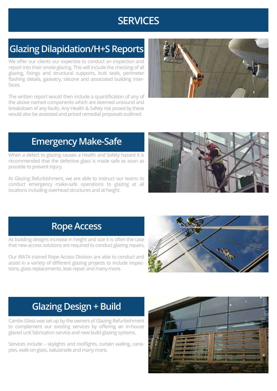## **SERVICES**

## **Glazing Dilapidation/H+S Reports**

We offer our clients our expertise to conduct an inspection and report into their onsite glazing. This will include the checking of all glazing, fixings and structural supports, butt seals, perimeter flashing details, gasketry, silicone and associated building interfaces.

The written report would then include a quantification of any of the above named components which are deemed unsound and breakdown of any faults. Any Health & Safety risk posed by these would also be assessed and priced remedial proposals outlined.



## **Emergency Make-Safe**

When a defect to glazing causes a Health and Safety hazard it is recommended that the defective glass is made safe as soon as possible to prevent injury.

At Glazing Refurbishment, we are able to instruct our teams to conduct emergency make-safe operations to glazing at all locations including overhead structures and at height.



#### **Rope Access**

As building designs increase in height and size it is often the case that new access solutions are required to conduct glazing repairs.

Our IRATA trained Rope Access Division are able to conduct and assist in a variety of different glazing projects to include inspections, glass replacements, leak repair and many more.



## **Glazing Design + Build**

Cambs Glass was set up by the owners of Glazing Refurbishment to complement our existing services by offering an in-house glazed unit fabrication service and new build glazing systems.

Services include – skylights and rooflights, curtain walling, canopies, walk-on glass, balustrade and many more.

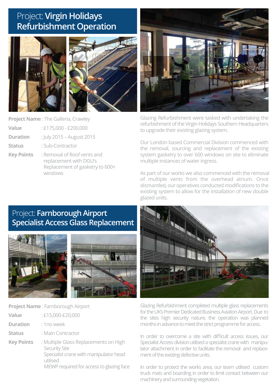#### Project: **Virgin Holidays Refurbishment Operation**





**Project Name** : The Galleria, Crawley

- **Value** : £175,000 £200,000
- **Duration** : July 2015 August 2015
- **Status** : Sub-Contractor
- **Key Points** : Removal of Roof vents and replacement with DGU's Replacement of gasketry to 600+ windows



Glazing Refurbishment were tasked with undertaking the refurbishment of the Virgin Holidays Southern Headquarters to upgrade their existing glazing system.

Our London based Commercial Division commenced with the removal, sourcing and replacement of the existing system gasketry to over 600 windows on site to eliminate multiple instances of water ingress.

As part of our works we also commenced with the removal of multiple vents from the overhead atrium. Once dismantled, our operatives conducted modifications to the existing system to allow for the installation of new double glazed units.

#### Project: **Farnborough Airport Specialist Access Glass Replacement**





**Project Name** : Farnborough Airport

| Value             | : £15,000-£20,000                             |
|-------------------|-----------------------------------------------|
| <b>Duration</b>   | : 1 no week                                   |
| <b>Status</b>     | : Main Contractor                             |
| <b>Key Points</b> | : Multiple Glass Replacement<br>Socurity Sito |

ts on High Security Site Specialist crane with manipulator head utilised MEWP required for access to glazing face



Glazing Refurbishment completed multiple glass replacements for the UK's Premier Dedicated Business Aviation Airport. Due to the sites high security nature, the operation was planned months in advance to meet the strict programme for access.

In order to overcome a site with difficult access issues, our Specialist Access division utilised a specialist crane with manipulator attachment in order to facilitate the removal and replacement of the existing defective units.

In order to protect the works area, our team utilised custom truck mats and boarding in order to limit contact between our machinery and surrounding vegetation.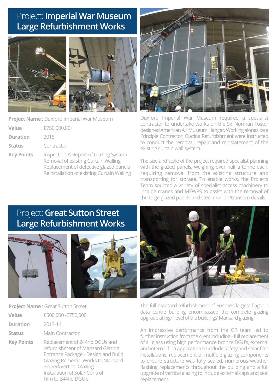#### Project: **Imperial War Museum Large Refurbishment Works**



**Project Name** : Duxford Imperial War Museum

| <b>Value</b>    | $E750,000.00+$ |
|-----------------|----------------|
| <b>Duration</b> | : 2015         |

- **Status** : Contractor
- **Key Points** : Inspection & Report of Glazing System Removal of existing Curtain Walling Replacement of defective glazed panels Reinstallation of existing Curtain Walling



Duxford Imperial War Museum required a specialist contractor to undertake works on the Sir Norman Foster designed American Air Museum Hangar. Working alongside a Principle Contractor, Glazing Refurbishment were instructed to conduct the removal, repair and reinstatement of the existing curtain wall system.

The size and scale of the project required specialist planning with the glazed panels, weighing over half a tonne each, requiring removal from the existing structure and transporting for storage. To enable works, the Projects Team sourced a variety of specialist access machinery to include cranes and MEWPS to assist with the removal of the large glazed panels and steel mullion/transom details.

#### Project: **Great Sutton Street Large Refurbishment Works**





**Project Name** : Great Sutton Street

| Value           | : £500,000 - £750,000 |
|-----------------|-----------------------|
| <b>Duration</b> | $: 2013 - 14$         |

- **Status** : Main Contractor
- **Key Points** : Replacement of 244no DGUs and refurbishment of Mansard Glazing Entrance Package - Design and Build Glazing Remedial Works to Mansard Sloped/Vertical Glazing Installation of Solar Control Film to 244no DGU's



The full mansard refurbishment of Europe's largest flagship data centre building encompassed the complete glazing upgrade at high level of the buildings' Mansard glazing.

An impressive performance from the GR team led to further instruction from the client including - full replacement of all glass using high performance bronze DGU's, external and internal film application to include safety and solar film installations, replacement of multiple glazing components to ensure structure was fully sealed, numerous weather flashing replacements throughout the building and a full upgrade of vertical glazing to include external caps and seal replacement.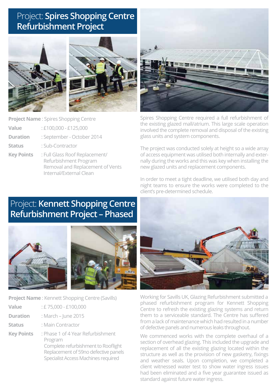### Project: **Spires Shopping Centre Refurbishment Project**





**Project Name** : Spires Shopping Centre

- **Value** : £100,000 £125,000
- **Duration** : September October 2014
- **Status** : Sub-Contractor
- **Key Points** : Full Glass Roof Replacement/ Refurbishment Program Removal and Replacement of Vents Internal/External Clean



Spires Shopping Centre required a full refurbishment of the existing glazed mall/atrium. This large scale operation involved the complete removal and disposal of the existing glass units and system components.

The project was conducted solely at height so a wide array of access equipment was utilised both internally and externally during the works and this was key when installing the new glazed units and replacement components.

In order to meet a tight deadline, we utilised both day and night teams to ensure the works were completed to the client's pre-determined schedule.

#### Project: **Kennett Shopping Centre Refurbishment Project – Phased**





**Project Name** : Kennett Shopping Centre (Savills)

| <b>Value</b><br>$\pm 75,000 - \pounds100,000$ |  |
|-----------------------------------------------|--|
|-----------------------------------------------|--|

- **Duration** : March June 2015
- **Status** : Main Contractor
- **Key Points** : Phase 1 of 4 Year Refurbishment Program Complete refurbishment to Rooflight Replacement of 59no defective panels Specialist Access Machines required



Working for Savills UK, Glazing Refurbishment submitted a phased refurbishment program for Kennett Shopping Centre to refresh the existing glazing systems and return them to a serviceable standard. The Centre has suffered from a lack of maintenance which had resulted in a number of defective panels and numerous leaks throughout.

We commenced works with the complete overhaul of a section of overhead glazing. This included the upgrade and replacement of all the existing glazing located within the structure as well as the provision of new gasketry, fixings and weather seals. Upon completion, we completed a client witnessed water test to show water ingress issues had been eliminated and a five year guarantee issued as standard against future water ingress.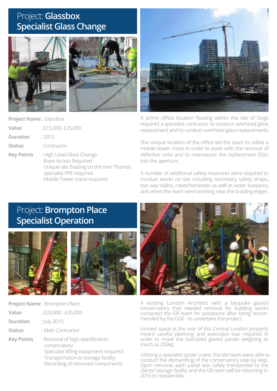#### Project: **Glassbox Specialist Glass Change**





**Project Name** : Glassbox

| Value             | : £15,000-£25,000                                                                                                                                       |
|-------------------|---------------------------------------------------------------------------------------------------------------------------------------------------------|
| <b>Duration</b>   | : 2015                                                                                                                                                  |
| <b>Status</b>     | : Contractor                                                                                                                                            |
| <b>Key Points</b> | : High Level Glass Change<br>Rope Access Required<br>Unique site floating on the river Thames<br>specialist PPE required<br>Mobile Tower crane required |



A prime office location floating within the Isle of Dogs required a specialist contractor to conduct overhead glass replacement and to conduct overhead glass replacements.

The unique location of the office led the team to utilise a mobile tower crane in order to assist with the removal of defective units and to manoeuvre the replacement DGU into the aperture.

A number of additional safety measures were required to conduct works on site including secondary safety straps, two way radios, ropes/harnesses as well as water buoyancy aids when the team were working near the building edges.

#### Project: **Brompton Place Specialist Operation**





**Project Name** : Brompton Place

| Value             | $:£20,000 - £25,000$            |
|-------------------|---------------------------------|
| <b>Duration</b>   | : July 2015                     |
| <b>Status</b>     | : Main Contractor               |
| <b>Key Points</b> | : Removal of high-specification |

 conservatory Specialist lifting equipment required Transportation to storage facility Recording of removed components



A leading London Architect with a bespoke glazed conservatory that needed removal for building works contacted the GR team for assistance after being recommended by the GGF - to undertake the project.

Limited space at the rear of this Central London property meant careful planning and execution was required in order to move the oversized glazed panels weighing as much as 250kg.

Utilising a specialist spider crane, the site team were able to conduct the dismantling of the conservatory step by step. Upon removal, each panel was safely transported to the clients' storage facility and the GR team will be returning in 2016 to reassemble.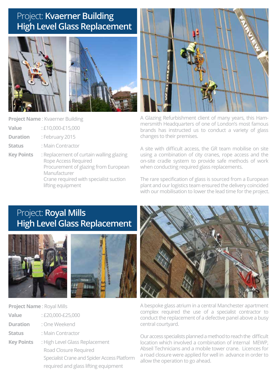#### Project: **Kvaerner Building High Level Glass Replacement**





**Project Name** : Kvaerner Building

- **Value** : £10,000-£15,000
- **Duration** : February 2015
- **Status** : Main Contractor

**Key Points** : Replacement of curtain walling glazing Rope Access Required Procurement of glazing from European Manufacturer Crane required with specialist suction lifting equipment



A Glazing Refurbishment client of many years, this Hammersmith Headquarters of one of London's most famous brands has instructed us to conduct a variety of glass changes to their premises.

A site with difficult access, the GR team mobilise on site using a combination of city cranes, rope access and the on-site cradle system to provide safe methods of work when conducting required glass replacements.

The rare specification of glass is sourced from a European plant and our logistics team ensured the delivery coincided with our mobilisation to lower the lead time for the project.

### Project: **Royal Mills High Level Glass Replacement**





**Project Name** : Royal Mills

| Value           | : £20,000-£25,000 |
|-----------------|-------------------|
| <b>Duration</b> | : One Weekend     |
| <b>Status</b>   | : Main Contractor |

**Key Points** : High Level Glass Replacement Road Closure Required Specialist Crane and Spider Access Platform required and glass lifting equipment



A bespoke glass atrium in a central Manchester apartment complex required the use of a specialist contractor to conduct the replacement of a defective panel above a busy central courtyard.

Our access specialists planned a method to reach the difficult location which involved a combination of internal MEWP, Abseil Technicians and a mobile tower crane. Licences for a road closure were applied for well in advance in order to allow the operation to go ahead.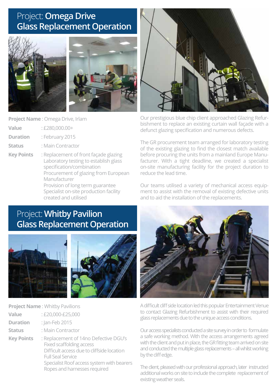#### Project: **Omega Drive Glass Replacement Operation**



**Project Name** : Omega Drive, Irlam

- **Value** : £280,000.00+
- **Duration** : February 2015
- **Status** : Main Contractor
- **Key Points** : Replacement of front façade glazing Laboratory testing to establish glass specification/combination Procurement of glazing from European Manufacturer Provision of long term guarantee Specialist on-site production facility created and utilised



Our prestigious blue chip client approached Glazing Refurbishment to replace an existing curtain wall façade with a defunct glazing specification and numerous defects.

The GR procurement team arranged for laboratory testing of the existing glazing to find the closest match available before procuring the units from a mainland Europe Manufacturer. With a tight deadline, we created a specialist on-site manufacturing facility for the project duration to reduce the lead time.

Our teams utilised a variety of mechanical access equipment to assist with the removal of existing defective units and to aid the installation of the replacements.

## Project: **Whitby Pavilion Glass Replacement Operation**





|                   | <b>Project Name: Whitby Pavilions</b>                                                                                                                                                                                            |
|-------------------|----------------------------------------------------------------------------------------------------------------------------------------------------------------------------------------------------------------------------------|
| Value             | : £20,000-£25,000                                                                                                                                                                                                                |
| <b>Duration</b>   | : Jan-Feb 2015                                                                                                                                                                                                                   |
| <b>Status</b>     | : Main Contractor                                                                                                                                                                                                                |
| <b>Key Points</b> | : Replacement of 14no Defective DGU's<br><b>Fixed scaffolding access</b><br>Difficult access due to cliffside location<br><b>Full Seal Service</b><br>Specialist Roof access system with bearers<br>Ropes and harnesses required |



A difficult cliff side location led this popular Entertainment Venue to contact Glazing Refurbishment to assist with their required glass replacements due to the unique access conditions.

Our access specialists conducted a site survey in order to formulate a safe working method. With the access arrangements agreed with the client and put in place, the GR fitting team arrived on site and conducted the multiple glass replacements – all whilst working by the cliff edge.

The client, pleased with our professional approach, later instructed additional works on site to include the complete replacement of existing weather seals.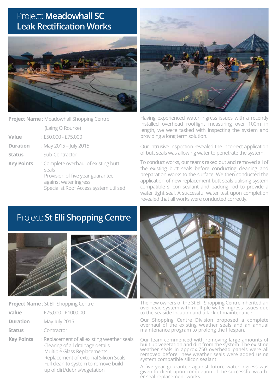#### Project: **Meadowhall SC Leak Rectification Works**



**Project Name** : Meadowhall Shopping Centre

(Laing O Rourke)

- **Value** : £50,000 £75,000
- **Duration** : May 2015 July 2015
- **Status** : Sub-Contractor
- **Key Points** : Complete overhaul of existing butt seals Provision of five year guarantee against water ingress Specialist Roof Access system utilised



Having experienced water ingress issues with a recently installed overhead rooflight measuring over 100m in length, we were tasked with inspecting the system and providing a long term solution.

Our intrusive inspection revealed the incorrect application of butt seals was allowing water to penetrate the system.

To conduct works, our teams raked out and removed all of the existing butt seals before conducting cleaning and preparation works to the surface. We then conducted the application of new replacement butt seals utilising system compatible silicon sealant and backing rod to provide a water tight seal. A successful water test upon completion revealed that all works were conducted correctly.

## Project: **St Elli Shopping Centre**





**Project Name** : St Elli Shopping Centre

- **Value** : £75,000 £100,000
- **Duration** : May-July 2015
- **Status** : Contractor
- **Key Points** : Replacement of all existing weather seals Clearing of all drainage details Multiple Glass Replacements Replacement of external Silicon Seals Full clean to system to remove build up of dirt/debris/vegetation



The new owners of the St Elli Shopping Centre inherited an overhead system with multiple water ingress issues due to the seaside location and a lack of maintenance.

Our Shopping Centre Division proposed a complete overhaul of the existing weather seals and an annual maintenance program to prolong the lifespan.

Our team commenced with removing large amounts of built up vegetation and dirt from the system. The existing weather seals in approx.750 overhead panels were all removed before new weather seals were added using system compatible silicon sealant.

A five year guarantee against future water ingress was given to client upon completion of the successful weather seal replacement works.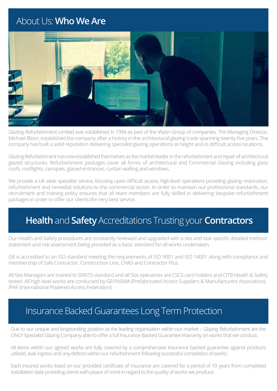## About Us: **Who We Are**



Glazing Refurbishment Limited was established in 1994 as part of the Vision Group of companies. The Managing Director, Michael Bloor, established the company after a history in the architectural glazing trade spanning twenty five years. The company has built a solid reputation delivering specialist glazing operations at height and in difficult access locations.

Glazing Refurbishment has now established themselves as the market leader in the refurbishment and repair of architectural glazed structures. Refurbishment packages cover all forms of architectural and Commercial Glazing including glass roofs, rooflights, canopies, glazed entrances, curtain walling and windows.

We provide a UK wide specialist service, focusing upon difficult access, high-level operations providing glazing restoration, refurbishment and remedial solutions to the commercial sector. In order to maintain our professional standards, our recruitment and training policy ensures that all team members are fully skilled in delivering bespoke refurbishment packages in order to offer our clients the very best service.

### **Health** and **Safety** Accreditations Trusting your **Contractors**

Our Health and Safety procedures are constantly reviewed and upgraded with a site and task specific detailed method statement and risk assessment being provided as a basic standard for all works undertaken.

GR is accredited to an ISO standard meeting the requirements of ISO 9001 and ISO 14001 along with compliance and membership of Safe Contractor, Construction Line, CHAS and Contractor Plus.

All Site Managers are trained to SMSTS standard and all Site operatives are CSCS card holders and CITB Health & Safety tested. All high level works are conducted by GR PASMA (Prefabricated Access Suppliers & Manufacturers Association), IPAF (International Powered Access Federation)

#### Insurance Backed Guarantees Long Term Protection

Due to our unique and longstanding position as the leading organisation within our market – Glazing Refurbishment are the ONLY Specialist Glazing Company able to offer a full Insurance Backed Guarantee Warranty on works that we conduct.

All items within our agreed works are fully covered by a comprehensive insurance backed guarantee against products utilised, leak ingress and any defects within our refurbishment following successful completion of works.

Each insured works listed on our provided certificate of insurance are covered for a period of 10 years from completed installation date providing clients with peace of mind in regard to the quality of works we produce.